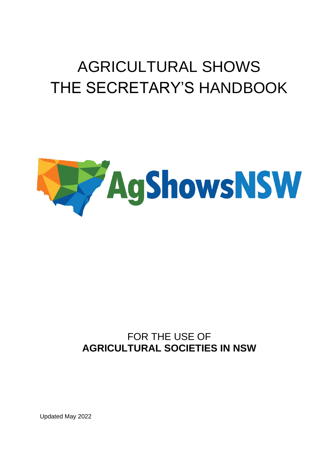# AGRICULTURAL SHOWS THE SECRETARY'S HANDBOOK



### FOR THE USE OF **AGRICULTURAL SOCIETIES IN NSW**

Updated May 2022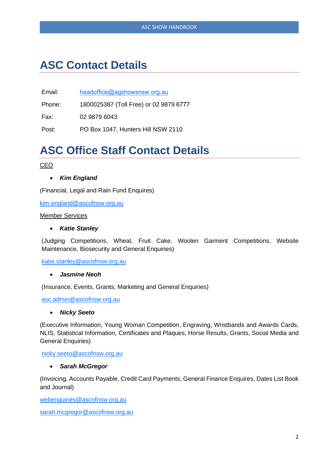### **ASC Contact Details**

Email: [headoffice@agshowsnsw.org](mailto:asc.admin@ascofnsw.org.au).au

Phone: 1800025387 (Toll Free) or 02 9879 6777

Fax: 02 9879 6043

Post: PO Box 1047, Hunters Hill NSW 2110

### **ASC Office Staff Contact Details**

#### CEO

#### • *Kim England*

(Financial, Legal and Rain Fund Enquires)

[kim.england@ascofnsw.org.au](mailto:kim.england@ascofnsw.org.au)

#### Member Services

#### • *Katie Stanley*

(Judging Competitions, Wheat, Fruit Cake, Woolen Garment Competitions, Website Maintenance, Biosecurity and General Enquiries)

[katie.stanley@ascofnsw.org.au](mailto:katie.stanley@ascofnsw.org.au)

#### • *Jasmine Neoh*

(Insurance, Events, Grants, Marketing and General Enquiries)

[asc.admin@ascofnsw.org.au](mailto:alyson@ascofnsw.org.au)

#### • *Nicky Seeto*

(Executive Information, Young Woman Competition, Engraving, Wristbands and Awards Cards, NLIS, Statistical Information, Certificates and Plaques, Horse Results, Grants, Social Media and General Enquiries)

[nicky.seeto@ascofnsw.org.au](mailto:nicky.seeto@ascofnsw.org.au)

#### • *Sarah McGregor*

(Invoicing, Accounts Payable, Credit Card Payments, General Finance Enquires, Dates List Book and Journal)

[webenquiries@ascofnsw.org.au](mailto:webenquiries@ascofnsw.org.au)

sarah.mcgregor@ascofnsw.org.au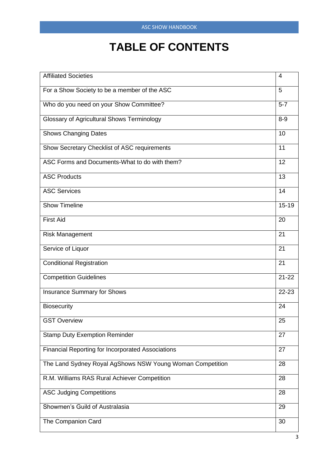## **TABLE OF CONTENTS**

| <b>Affiliated Societies</b>                               | 4         |
|-----------------------------------------------------------|-----------|
| For a Show Society to be a member of the ASC              | 5         |
| Who do you need on your Show Committee?                   | $5 - 7$   |
| <b>Glossary of Agricultural Shows Terminology</b>         | $8-9$     |
| <b>Shows Changing Dates</b>                               | 10        |
| Show Secretary Checklist of ASC requirements              | 11        |
| ASC Forms and Documents-What to do with them?             | 12        |
| <b>ASC Products</b>                                       | 13        |
| <b>ASC Services</b>                                       | 14        |
| <b>Show Timeline</b>                                      | $15 - 19$ |
| First Aid                                                 | 20        |
| <b>Risk Management</b>                                    | 21        |
| Service of Liquor                                         | 21        |
| <b>Conditional Registration</b>                           | 21        |
| <b>Competition Guidelines</b>                             | $21 - 22$ |
| <b>Insurance Summary for Shows</b>                        | 22-23     |
| <b>Biosecurity</b>                                        | 24        |
| <b>GST Overview</b>                                       | 25        |
| <b>Stamp Duty Exemption Reminder</b>                      | 27        |
| <b>Financial Reporting for Incorporated Associations</b>  | 27        |
| The Land Sydney Royal AgShows NSW Young Woman Competition | 28        |
| R.M. Williams RAS Rural Achiever Competition              | 28        |
| <b>ASC Judging Competitions</b>                           | 28        |
| Showmen's Guild of Australasia                            | 29        |
| The Companion Card                                        | 30        |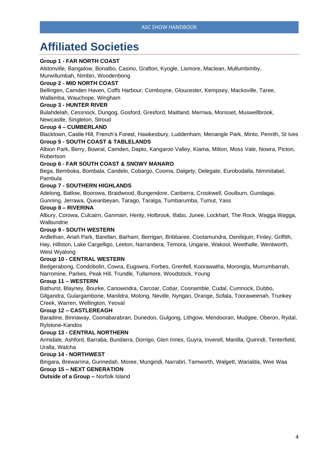### **Affiliated Societies**

#### **Group 1 - FAR NORTH COAST**

Alstonville, Bangalow, Bonalbo, Casino, Grafton, Kyogle, Lismore, Maclean, Mullumbimby,

Murwillumbah, Nimbin, Woodenbong

#### **Group 2 - MID NORTH COAST**

Bellingen, Camden Haven, Coffs Harbour, Comboyne, Gloucester, Kempsey, Macksville, Taree,

#### Wallamba, Wauchope, Wingham

#### **Group 3 - HUNTER RIVER**

Bulahdelah, Cessnock, Dungog, Gosford, Gresford, Maitland, Merriwa, Morisset, Muswellbrook,

#### Newcastle, Singleton, Stroud

#### **Group 4 – CUMBERLAND**

Blacktown, Castle Hill, French's Forest, Hawkesbury, Luddenham, Menangle Park, Minto, Penrith, St Ives **Group 5 - SOUTH COAST & TABLELANDS**

Albion Park, Berry, Bowral, Camden, Dapto, Kangaroo Valley, Kiama, Milton, Moss Vale, Nowra, Picton, Robertson

#### **Group 6 - FAR SOUTH COAST & SNOWY MANARO**

Bega, Bemboka, Bombala, Candelo, Cobargo, Cooma, Dalgety, Delegate, Eurobodalla, Nimmitabel, Pambula

#### **Group 7 - SOUTHERN HIGHLANDS**

Adelong, Batlow, Boorowa, Braidwood, Bungendore, Canberra, Crookwell, Goulburn, Gundagai, Gunning, Jerrawa, Queanbeyan, Tarago, Taralga, Tumbarumba, Tumut, Yass

#### **Group 8 – RIVERINA**

Albury, Corowa, Culcairn, Ganmain, Henty, Holbrook, Illabo, Junee, Lockhart, The Rock, Wagga Wagga, **Walbundrie** 

#### **Group 9 - SOUTH WESTERN**

Ardlethan, Ariah Park, Barellan, Barham, Berrigan, Bribbaree, Cootamundra, Deniliquin, Finley, Griffith, Hay, Hillston, Lake Cargelligo, Leeton, Narrandera, Temora, Ungarie, Wakool, Weethalle, Wentworth, West Wyalong

#### **Group 10 - CENTRAL WESTERN**

Bedgerabong, Condobolin, Cowra, Eugowra, Forbes, Grenfell, Koorawatha, Morongla, Murrumbarrah, Narromine, Parkes, Peak Hill, Trundle, Tullamore, Woodstock, Young

#### **Group 11 – WESTERN**

Bathurst, Blayney, Bourke, Canowindra, Carcoar, Cobar, Coonamble, Cudal, Cumnock, Dubbo, Gilgandra, Gulargambone, Manildra, Molong, Neville, Nyngan, Orange, Sofala, Tooraweenah, Trunkey Creek, Warren, Wellington, Yeoval

#### **Group 12 – CASTLEREAGH**

Baradine, Binnaway, Coonabarabran, Dunedoo, Gulgong, Lithgow, Mendooran, Mudgee, Oberon, Rydal, Rylstone-Kandos

#### **Group 13 - CENTRAL NORTHERN**

Armidale, Ashford, Barraba, Bundarra, Dorrigo, Glen Innes, Guyra, Inverell, Manilla, Quirindi, Tenterfield, Uralla, Walcha

#### **Group 14 - NORTHWEST**

Bingara, Brewarrina, Gunnedah, Moree, Mungindi, Narrabri, Tamworth, Walgett, Warialda, Wee Waa **Group 15 – NEXT GENERATION**

**Outside of a Group –** Norfolk Island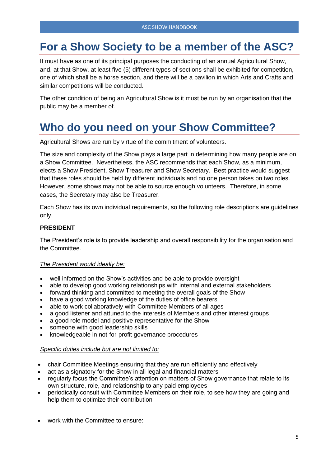### **For a Show Society to be a member of the ASC?**

It must have as one of its principal purposes the conducting of an annual Agricultural Show, and, at that Show, at least five (5) different types of sections shall be exhibited for competition, one of which shall be a horse section, and there will be a pavilion in which Arts and Crafts and similar competitions will be conducted.

The other condition of being an Agricultural Show is it must be run by an organisation that the public may be a member of.

### **Who do you need on your Show Committee?**

Agricultural Shows are run by virtue of the commitment of volunteers.

The size and complexity of the Show plays a large part in determining how many people are on a Show Committee. Nevertheless, the ASC recommends that each Show, as a minimum, elects a Show President, Show Treasurer and Show Secretary. Best practice would suggest that these roles should be held by different individuals and no one person takes on two roles. However, some shows may not be able to source enough volunteers. Therefore, in some cases, the Secretary may also be Treasurer.

Each Show has its own individual requirements, so the following role descriptions are guidelines only.

#### **PRESIDENT**

The President's role is to provide leadership and overall responsibility for the organisation and the Committee.

#### *The President would ideally be:*

- well informed on the Show's activities and be able to provide oversight
- able to develop good working relationships with internal and external stakeholders
- forward thinking and committed to meeting the overall goals of the Show
- have a good working knowledge of the duties of office bearers
- able to work collaboratively with Committee Members of all ages
- a good listener and attuned to the interests of Members and other interest groups
- a good role model and positive representative for the Show
- someone with good leadership skills
- knowledgeable in not-for-profit governance procedures

#### *Specific duties include but are not limited to:*

- chair Committee Meetings ensuring that they are run efficiently and effectively
- act as a signatory for the Show in all legal and financial matters
- regularly focus the Committee's attention on matters of Show governance that relate to its own structure, role, and relationship to any paid employees
- periodically consult with Committee Members on their role, to see how they are going and help them to optimize their contribution
- work with the Committee to ensure: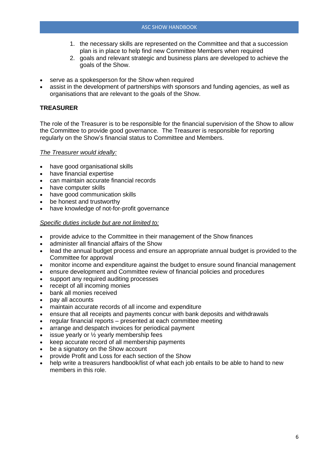- 1. the necessary skills are represented on the Committee and that a succession plan is in place to help find new Committee Members when required
- 2. goals and relevant strategic and business plans are developed to achieve the goals of the Show.
- serve as a spokesperson for the Show when required
- assist in the development of partnerships with sponsors and funding agencies, as well as organisations that are relevant to the goals of the Show.

#### **TREASURER**

The role of the Treasurer is to be responsible for the financial supervision of the Show to allow the Committee to provide good governance. The Treasurer is responsible for reporting regularly on the Show's financial status to Committee and Members.

#### *The Treasurer would ideally:*

- have good organisational skills
- have financial expertise
- can maintain accurate financial records
- have computer skills
- have good communication skills
- be honest and trustworthy
- have knowledge of not-for-profit governance

#### *Specific duties include but are not limited to:*

- provide advice to the Committee in their management of the Show finances
- administer all financial affairs of the Show
- lead the annual budget process and ensure an appropriate annual budget is provided to the Committee for approval
- monitor income and expenditure against the budget to ensure sound financial management
- ensure development and Committee review of financial policies and procedures
- support any required auditing processes
- receipt of all incoming monies
- bank all monies received
- pay all accounts
- maintain accurate records of all income and expenditure
- ensure that all receipts and payments concur with bank deposits and withdrawals
- regular financial reports presented at each committee meeting
- arrange and despatch invoices for periodical payment
- issue yearly or  $\frac{1}{2}$  yearly membership fees
- keep accurate record of all membership payments
- be a signatory on the Show account
- provide Profit and Loss for each section of the Show
- help write a treasurers handbook/list of what each job entails to be able to hand to new members in this role.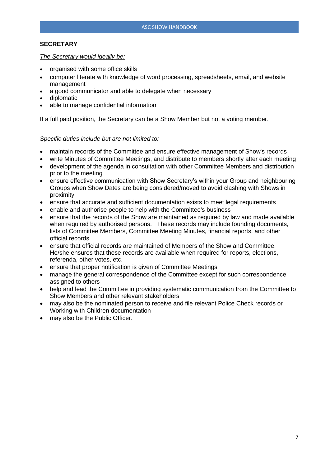#### **SECRETARY**

#### *The Secretary would ideally be:*

- organised with some office skills
- computer literate with knowledge of word processing, spreadsheets, email, and website management
- a good communicator and able to delegate when necessary
- diplomatic
- able to manage confidential information

If a full paid position, the Secretary can be a Show Member but not a voting member.

#### *Specific duties include but are not limited to:*

- maintain records of the Committee and ensure effective management of Show's records
- write Minutes of Committee Meetings, and distribute to members shortly after each meeting
- development of the agenda in consultation with other Committee Members and distribution prior to the meeting
- ensure effective communication with Show Secretary's within your Group and neighbouring Groups when Show Dates are being considered/moved to avoid clashing with Shows in proximity
- ensure that accurate and sufficient documentation exists to meet legal requirements
- enable and authorise people to help with the Committee's business
- ensure that the records of the Show are maintained as required by law and made available when required by authorised persons. These records may include founding documents, lists of Committee Members, Committee Meeting Minutes, financial reports, and other official records
- ensure that official records are maintained of Members of the Show and Committee. He/she ensures that these records are available when required for reports, elections, referenda, other votes, etc.
- ensure that proper notification is given of Committee Meetings
- manage the general correspondence of the Committee except for such correspondence assigned to others
- help and lead the Committee in providing systematic communication from the Committee to Show Members and other relevant stakeholders
- may also be the nominated person to receive and file relevant Police Check records or Working with Children documentation
- may also be the Public Officer.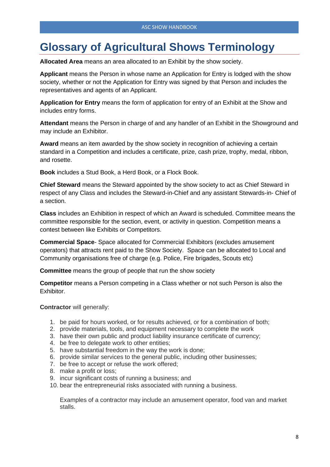### **Glossary of Agricultural Shows Terminology**

**Allocated Area** means an area allocated to an Exhibit by the show society.

**Applicant** means the Person in whose name an Application for Entry is lodged with the show society, whether or not the Application for Entry was signed by that Person and includes the representatives and agents of an Applicant.

**Application for Entry** means the form of application for entry of an Exhibit at the Show and includes entry forms.

**Attendant** means the Person in charge of and any handler of an Exhibit in the Showground and may include an Exhibitor.

**Award** means an item awarded by the show society in recognition of achieving a certain standard in a Competition and includes a certificate, prize, cash prize, trophy, medal, ribbon, and rosette.

**Book** includes a Stud Book, a Herd Book, or a Flock Book.

**Chief Steward** means the Steward appointed by the show society to act as Chief Steward in respect of any Class and includes the Steward-in-Chief and any assistant Stewards-in- Chief of a section.

**Class** includes an Exhibition in respect of which an Award is scheduled. Committee means the committee responsible for the section, event, or activity in question. Competition means a contest between like Exhibits or Competitors.

**Commercial Space**- Space allocated for Commercial Exhibitors (excludes amusement operators) that attracts rent paid to the Show Society. Space can be allocated to Local and Community organisations free of charge (e.g. Police, Fire brigades, Scouts etc)

**Committee** means the group of people that run the show society

**Competitor** means a Person competing in a Class whether or not such Person is also the Exhibitor.

**Contractor** will generally:

- 1. be paid for hours worked, or for results achieved, or for a combination of both;
- 2. provide materials, tools, and equipment necessary to complete the work
- 3. have their own public and product liability insurance certificate of currency;
- 4. be free to delegate work to other entities;
- 5. have substantial freedom in the way the work is done;
- 6. provide similar services to the general public, including other businesses;
- 7. be free to accept or refuse the work offered;
- 8. make a profit or loss;
- 9. incur significant costs of running a business; and
- 10. bear the entrepreneurial risks associated with running a business.

Examples of a contractor may include an amusement operator, food van and market stalls.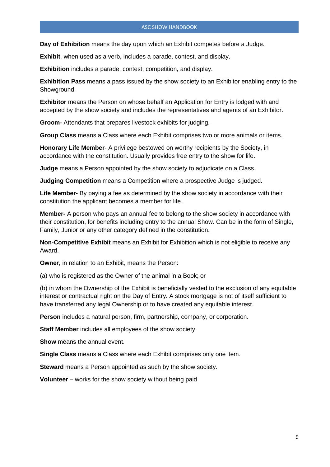**Day of Exhibition** means the day upon which an Exhibit competes before a Judge.

**Exhibit**, when used as a verb, includes a parade, contest, and display.

**Exhibition** includes a parade, contest, competition, and display.

**Exhibition Pass** means a pass issued by the show society to an Exhibitor enabling entry to the Showground.

**Exhibitor** means the Person on whose behalf an Application for Entry is lodged with and accepted by the show society and includes the representatives and agents of an Exhibitor.

**Groom-** Attendants that prepares livestock exhibits for judging.

**Group Class** means a Class where each Exhibit comprises two or more animals or items.

**Honorary Life Member**- A privilege bestowed on worthy recipients by the Society, in accordance with the constitution. Usually provides free entry to the show for life.

**Judge** means a Person appointed by the show society to adjudicate on a Class.

**Judging Competition** means a Competition where a prospective Judge is judged.

**Life Member**- By paying a fee as determined by the show society in accordance with their constitution the applicant becomes a member for life.

**Member-** A person who pays an annual fee to belong to the show society in accordance with their constitution, for benefits including entry to the annual Show. Can be in the form of Single, Family, Junior or any other category defined in the constitution.

**Non-Competitive Exhibit** means an Exhibit for Exhibition which is not eligible to receive any Award.

**Owner,** in relation to an Exhibit, means the Person:

(a) who is registered as the Owner of the animal in a Book; or

(b) in whom the Ownership of the Exhibit is beneficially vested to the exclusion of any equitable interest or contractual right on the Day of Entry. A stock mortgage is not of itself sufficient to have transferred any legal Ownership or to have created any equitable interest.

**Person** includes a natural person, firm, partnership, company, or corporation.

**Staff Member** includes all employees of the show society.

**Show** means the annual event.

**Single Class** means a Class where each Exhibit comprises only one item.

**Steward** means a Person appointed as such by the show society.

**Volunteer** – works for the show society without being paid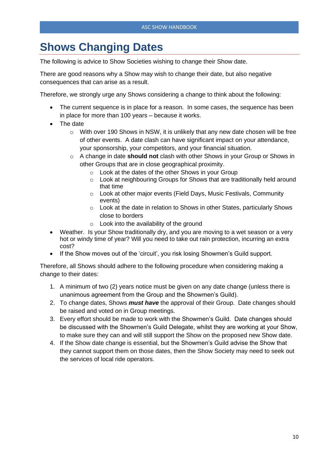### **Shows Changing Dates**

The following is advice to Show Societies wishing to change their Show date.

There are good reasons why a Show may wish to change their date, but also negative consequences that can arise as a result.

Therefore, we strongly urge any Shows considering a change to think about the following:

- The current sequence is in place for a reason. In some cases, the sequence has been in place for more than 100 years – because it works.
- The date
	- $\circ$  With over 190 Shows in NSW, it is unlikely that any new date chosen will be free of other events. A date clash can have significant impact on your attendance, your sponsorship, your competitors, and your financial situation.
	- o A change in date **should not** clash with other Shows in your Group or Shows in other Groups that are in close geographical proximity.
		- o Look at the dates of the other Shows in your Group
		- o Look at neighbouring Groups for Shows that are traditionally held around that time
		- o Look at other major events (Field Days, Music Festivals, Community events)
		- o Look at the date in relation to Shows in other States, particularly Shows close to borders
		- $\circ$  Look into the availability of the ground
- Weather. Is your Show traditionally dry, and you are moving to a wet season or a very hot or windy time of year? Will you need to take out rain protection, incurring an extra cost?
- If the Show moves out of the 'circuit', you risk losing Showmen's Guild support.

Therefore, all Shows should adhere to the following procedure when considering making a change to their dates:

- 1. A minimum of two (2) years notice must be given on any date change (unless there is unanimous agreement from the Group and the Showmen's Guild).
- 2. To change dates, Shows *must have* the approval of their Group. Date changes should be raised and voted on in Group meetings.
- 3. Every effort should be made to work with the Showmen's Guild. Date changes should be discussed with the Showmen's Guild Delegate, whilst they are working at your Show, to make sure they can and will still support the Show on the proposed new Show date.
- 4. If the Show date change is essential, but the Showmen's Guild advise the Show that they cannot support them on those dates, then the Show Society may need to seek out the services of local ride operators.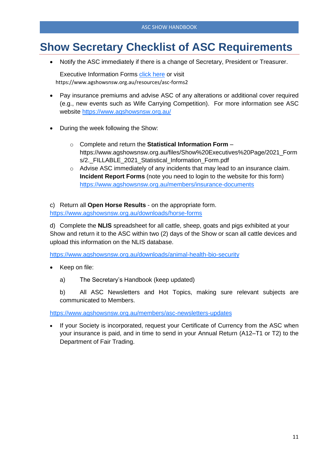### **Show Secretary Checklist of ASC Requirements**

• Notify the ASC immediately if there is a change of Secretary, President or Treasurer.

Executive Information Forms *click here* or visit https://www.agshowsnsw.org.au/resources/asc-forms2

- Pay insurance premiums and advise ASC of any alterations or additional cover required (e.g., new events such as Wife Carrying Competition). For more information see ASC website <https://www.agshowsnsw.org.au/>
- During the week following the Show:
	- o Complete and return the **Statistical Information Form** https://www.agshowsnsw.org.au/files/Show%20Executives%20Page/2021\_Form s/2.\_FILLABLE\_2021\_Statistical\_Information\_Form.pdf
	- o Advise ASC immediately of any incidents that may lead to an insurance claim. **Incident Report Forms** (note you need to login to the website for this form) <https://www.agshowsnsw.org.au/members/insurance-documents>

c) Return all **Open Horse Results** - on the appropriate form. <https://www.agshowsnsw.org.au/downloads/horse-forms>

d) Complete the **NLIS** spreadsheet for all cattle, sheep, goats and pigs exhibited at your Show and return it to the ASC within two (2) days of the Show or scan all cattle devices and upload this information on the NLIS database.

<https://www.agshowsnsw.org.au/downloads/animal-health-bio-security>

- Keep on file:
	- a) The Secretary's Handbook (keep updated)

b) All ASC Newsletters and Hot Topics, making sure relevant subjects are communicated to Members.

<https://www.agshowsnsw.org.au/members/asc-newsletters-updates>

If your Society is incorporated, request your Certificate of Currency from the ASC when your insurance is paid, and in time to send in your Annual Return (A12–T1 or T2) to the Department of Fair Trading.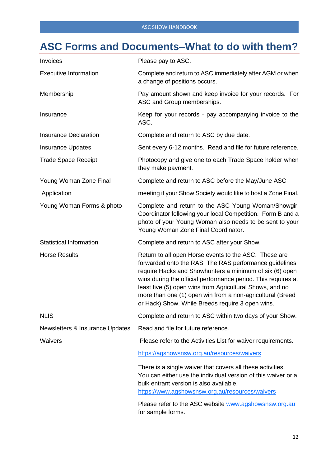### **ASC Forms and Documents–What to do with them?**

| Invoices                        | Please pay to ASC.                                                                                                                                                                                                                                                                                                                                                                                                       |  |
|---------------------------------|--------------------------------------------------------------------------------------------------------------------------------------------------------------------------------------------------------------------------------------------------------------------------------------------------------------------------------------------------------------------------------------------------------------------------|--|
| <b>Executive Information</b>    | Complete and return to ASC immediately after AGM or when<br>a change of positions occurs.                                                                                                                                                                                                                                                                                                                                |  |
| Membership                      | Pay amount shown and keep invoice for your records. For<br>ASC and Group memberships.                                                                                                                                                                                                                                                                                                                                    |  |
| Insurance                       | Keep for your records - pay accompanying invoice to the<br>ASC.                                                                                                                                                                                                                                                                                                                                                          |  |
| <b>Insurance Declaration</b>    | Complete and return to ASC by due date.                                                                                                                                                                                                                                                                                                                                                                                  |  |
| <b>Insurance Updates</b>        | Sent every 6-12 months. Read and file for future reference.                                                                                                                                                                                                                                                                                                                                                              |  |
| <b>Trade Space Receipt</b>      | Photocopy and give one to each Trade Space holder when<br>they make payment.                                                                                                                                                                                                                                                                                                                                             |  |
| Young Woman Zone Final          | Complete and return to ASC before the May/June ASC                                                                                                                                                                                                                                                                                                                                                                       |  |
| Application                     | meeting if your Show Society would like to host a Zone Final.                                                                                                                                                                                                                                                                                                                                                            |  |
| Young Woman Forms & photo       | Complete and return to the ASC Young Woman/Showgirl<br>Coordinator following your local Competition. Form B and a<br>photo of your Young Woman also needs to be sent to your<br>Young Woman Zone Final Coordinator.                                                                                                                                                                                                      |  |
| <b>Statistical Information</b>  | Complete and return to ASC after your Show.                                                                                                                                                                                                                                                                                                                                                                              |  |
| <b>Horse Results</b>            | Return to all open Horse events to the ASC. These are<br>forwarded onto the RAS. The RAS performance guidelines<br>require Hacks and Showhunters a minimum of six (6) open<br>wins during the official performance period. This requires at<br>least five (5) open wins from Agricultural Shows, and no<br>more than one (1) open win from a non-agricultural (Breed<br>or Hack) Show. While Breeds require 3 open wins. |  |
| <b>NLIS</b>                     | Complete and return to ASC within two days of your Show.                                                                                                                                                                                                                                                                                                                                                                 |  |
| Newsletters & Insurance Updates | Read and file for future reference.                                                                                                                                                                                                                                                                                                                                                                                      |  |
| Waivers                         | Please refer to the Activities List for waiver requirements.                                                                                                                                                                                                                                                                                                                                                             |  |
|                                 | https://agshowsnsw.org.au/resources/waivers                                                                                                                                                                                                                                                                                                                                                                              |  |
|                                 | There is a single waiver that covers all these activities.<br>You can either use the individual version of this waiver or a<br>bulk entrant version is also available.<br>https://www.agshowsnsw.org.au/resources/waivers                                                                                                                                                                                                |  |
|                                 | Please refer to the ASC website www.agshowsnsw.org.au<br>for sample forms.                                                                                                                                                                                                                                                                                                                                               |  |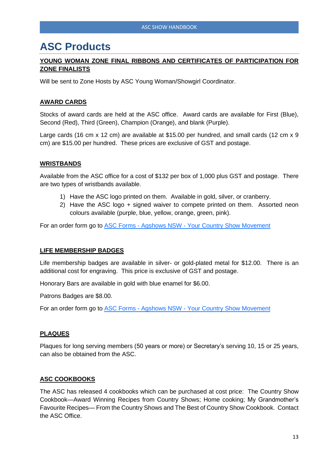### **ASC Products**

#### **YOUNG WOMAN ZONE FINAL RIBBONS AND CERTIFICATES OF PARTICIPATION FOR ZONE FINALISTS**

Will be sent to Zone Hosts by ASC Young Woman/Showgirl Coordinator.

#### **AWARD CARDS**

Stocks of award cards are held at the ASC office. Award cards are available for First (Blue), Second (Red), Third (Green), Champion (Orange), and blank (Purple).

Large cards (16 cm x 12 cm) are available at \$15.00 per hundred, and small cards (12 cm x 9 cm) are \$15.00 per hundred. These prices are exclusive of GST and postage.

#### **WRISTBANDS**

Available from the ASC office for a cost of \$132 per box of 1,000 plus GST and postage. There are two types of wristbands available.

- 1) Have the ASC logo printed on them. Available in gold, silver, or cranberry.
- 2) Have the ASC logo + signed waiver to compete printed on them. Assorted neon colours available (purple, blue, yellow, orange, green, pink).

For an order form go to **ASC Forms - Agshows NSW** - [Your Country Show Movement](https://www.agshowsnsw.org.au/resources/asc-forms2)

#### **LIFE MEMBERSHIP BADGES**

Life membership badges are available in silver- or gold-plated metal for \$12.00. There is an additional cost for engraving. This price is exclusive of GST and postage.

Honorary Bars are available in gold with blue enamel for \$6.00.

Patrons Badges are \$8.00.

For an order form go to ASC Forms - Agshows NSW - [Your Country Show Movement](https://www.agshowsnsw.org.au/resources/asc-forms2)

#### **PLAQUES**

Plaques for long serving members (50 years or more) or Secretary's serving 10, 15 or 25 years, can also be obtained from the ASC.

#### **ASC COOKBOOKS**

The ASC has released 4 cookbooks which can be purchased at cost price: The Country Show Cookbook—Award Winning Recipes from Country Shows; Home cooking; My Grandmother's Favourite Recipes— From the Country Shows and The Best of Country Show Cookbook. Contact the ASC Office.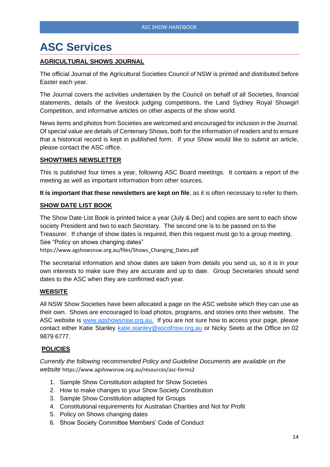### **ASC Services**

#### **AGRICULTURAL SHOWS JOURNAL**

The official Journal of the Agricultural Societies Council of NSW is printed and distributed before Easter each year.

The Journal covers the activities undertaken by the Council on behalf of all Societies, financial statements, details of the livestock judging competitions, the Land Sydney Royal Showgirl Competition, and informative articles on other aspects of the show world.

News items and photos from Societies are welcomed and encouraged for inclusion in the Journal. Of special value are details of Centenary Shows, both for the information of readers and to ensure that a historical record is kept in published form. If your Show would like to submit an article, please contact the ASC office.

#### **SHOWTIMES NEWSLETTER**

This is published four times a year, following ASC Board meetings. It contains a report of the meeting as well as important information from other sources.

**It is important that these newsletters are kept on file**, as it is often necessary to refer to them.

#### **SHOW DATE LIST BOOK**

The Show Date List Book is printed twice a year (July & Dec) and copies are sent to each show society President and two to each Secretary. The second one is to be passed on to the Treasurer. If change of show dates is required, then this request must go to a group meeting. See "Policy on shows changing dates"

https://www.agshowsnsw.org.au/files/Shows\_Changing\_Dates.pdf

The secretarial information and show dates are taken from details you send us, so it is in your own interests to make sure they are accurate and up to date. Group Secretaries should send dates to the ASC when they are confirmed each year.

#### **WEBSITE**

All NSW Show Societies have been allocated a page on the ASC website which they can use as their own. Shows are encouraged to load photos, programs, and stories onto their website. The ASC website is [www.agshowsnsw.org.au.](http://www.agshowsnsw.org.au/) If you are not sure how to access your page, please contact either Katie Stanley [katie.stanley@ascofnsw.org.au](mailto:katie.stanley@ascofnsw.org.au) or Nicky Seeto at the Office on 02 9879 6777.

#### **POLICIES**

*Currently the following recommended Policy and Guideline Documents are available on the website* https://www.agshowsnsw.org.au/resources/asc-forms2

- 1. Sample Show Constitution adapted for Show Societies
- 2. How to make changes to your Show Society Constitution
- 3. Sample Show Constitution adapted for Groups
- 4. Constitutional requirements for Australian Charities and Not for Profit
- 5. Policy on Shows changing dates
- 6. Show Society Committee Members' Code of Conduct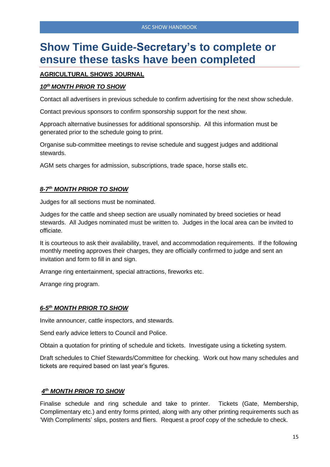### **Show Time Guide-Secretary's to complete or ensure these tasks have been completed**

#### **AGRICULTURAL SHOWS JOURNAL**

#### *10th MONTH PRIOR TO SHOW*

Contact all advertisers in previous schedule to confirm advertising for the next show schedule.

Contact previous sponsors to confirm sponsorship support for the next show.

Approach alternative businesses for additional sponsorship. All this information must be generated prior to the schedule going to print.

Organise sub-committee meetings to revise schedule and suggest judges and additional stewards.

AGM sets charges for admission, subscriptions, trade space, horse stalls etc.

#### *8-7 th MONTH PRIOR TO SHOW*

Judges for all sections must be nominated.

Judges for the cattle and sheep section are usually nominated by breed societies or head stewards. All Judges nominated must be written to. Judges in the local area can be invited to officiate.

It is courteous to ask their availability, travel, and accommodation requirements. If the following monthly meeting approves their charges, they are officially confirmed to judge and sent an invitation and form to fill in and sign.

Arrange ring entertainment, special attractions, fireworks etc.

Arrange ring program.

#### *6-5 th MONTH PRIOR TO SHOW*

Invite announcer, cattle inspectors, and stewards.

Send early advice letters to Council and Police.

Obtain a quotation for printing of schedule and tickets. Investigate using a ticketing system.

Draft schedules to Chief Stewards/Committee for checking. Work out how many schedules and tickets are required based on last year's figures.

#### *4 th MONTH PRIOR TO SHOW*

Finalise schedule and ring schedule and take to printer. Tickets (Gate, Membership, Complimentary etc.) and entry forms printed, along with any other printing requirements such as 'With Compliments' slips, posters and fliers. Request a proof copy of the schedule to check.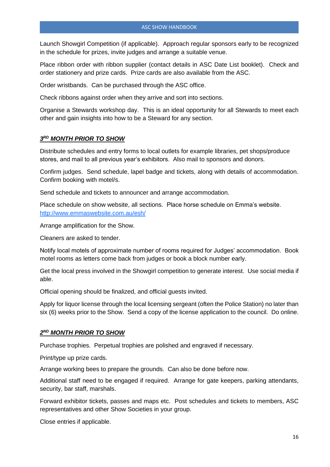Launch Showgirl Competition (if applicable). Approach regular sponsors early to be recognized in the schedule for prizes, invite judges and arrange a suitable venue.

Place ribbon order with ribbon supplier (contact details in ASC Date List booklet). Check and order stationery and prize cards. Prize cards are also available from the ASC.

Order wristbands. Can be purchased through the ASC office.

Check ribbons against order when they arrive and sort into sections.

Organise a Stewards workshop day. This is an ideal opportunity for all Stewards to meet each other and gain insights into how to be a Steward for any section.

#### *3 RD MONTH PRIOR TO SHOW*

Distribute schedules and entry forms to local outlets for example libraries, pet shops/produce stores, and mail to all previous year's exhibitors. Also mail to sponsors and donors.

Confirm judges. Send schedule, lapel badge and tickets, along with details of accommodation. Confirm booking with motel/s.

Send schedule and tickets to announcer and arrange accommodation.

Place schedule on show website, all sections. Place horse schedule on Emma's website. <http://www.emmaswebsite.com.au/esh/>

Arrange amplification for the Show.

Cleaners are asked to tender.

Notify local motels of approximate number of rooms required for Judges' accommodation. Book motel rooms as letters come back from judges or book a block number early.

Get the local press involved in the Showgirl competition to generate interest. Use social media if able.

Official opening should be finalized, and official guests invited.

Apply for liquor license through the local licensing sergeant (often the Police Station) no later than six (6) weeks prior to the Show. Send a copy of the license application to the council. Do online.

#### *2 ND MONTH PRIOR TO SHOW*

Purchase trophies. Perpetual trophies are polished and engraved if necessary.

Print/type up prize cards.

Arrange working bees to prepare the grounds. Can also be done before now.

Additional staff need to be engaged if required. Arrange for gate keepers, parking attendants, security, bar staff, marshals.

Forward exhibitor tickets, passes and maps etc. Post schedules and tickets to members, ASC representatives and other Show Societies in your group.

Close entries if applicable.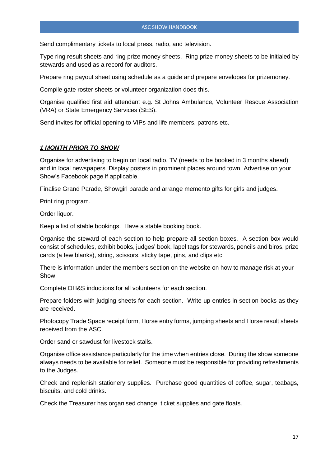Send complimentary tickets to local press, radio, and television.

Type ring result sheets and ring prize money sheets. Ring prize money sheets to be initialed by stewards and used as a record for auditors.

Prepare ring payout sheet using schedule as a guide and prepare envelopes for prizemoney.

Compile gate roster sheets or volunteer organization does this.

Organise qualified first aid attendant e.g. St Johns Ambulance, Volunteer Rescue Association (VRA) or State Emergency Services (SES).

Send invites for official opening to VIPs and life members, patrons etc.

#### *1 MONTH PRIOR TO SHOW*

Organise for advertising to begin on local radio, TV (needs to be booked in 3 months ahead) and in local newspapers. Display posters in prominent places around town. Advertise on your Show's Facebook page if applicable.

Finalise Grand Parade, Showgirl parade and arrange memento gifts for girls and judges.

Print ring program.

Order liquor.

Keep a list of stable bookings. Have a stable booking book.

Organise the steward of each section to help prepare all section boxes. A section box would consist of schedules, exhibit books, judges' book, lapel tags for stewards, pencils and biros, prize cards (a few blanks), string, scissors, sticky tape, pins, and clips etc.

There is information under the members section on the website on how to manage risk at your Show.

Complete OH&S inductions for all volunteers for each section.

Prepare folders with judging sheets for each section. Write up entries in section books as they are received.

Photocopy Trade Space receipt form, Horse entry forms, jumping sheets and Horse result sheets received from the ASC.

Order sand or sawdust for livestock stalls.

Organise office assistance particularly for the time when entries close. During the show someone always needs to be available for relief. Someone must be responsible for providing refreshments to the Judges.

Check and replenish stationery supplies. Purchase good quantities of coffee, sugar, teabags, biscuits, and cold drinks.

Check the Treasurer has organised change, ticket supplies and gate floats.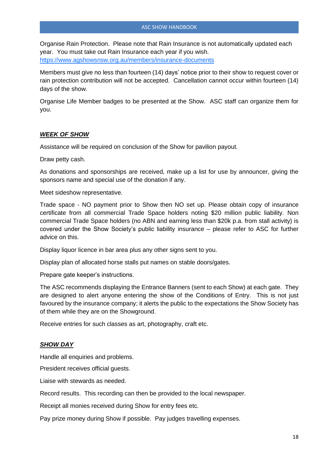Organise Rain Protection. Please note that Rain Insurance is not automatically updated each year. You must take out Rain Insurance each year if you wish. <https://www.agshowsnsw.org.au/members/insurance-documents>

Members must give no less than fourteen (14) days' notice prior to their show to request cover or rain protection contribution will not be accepted. Cancellation cannot occur within fourteen (14) days of the show.

Organise Life Member badges to be presented at the Show. ASC staff can organize them for you.

#### *WEEK OF SHOW*

Assistance will be required on conclusion of the Show for pavilion payout.

Draw petty cash.

As donations and sponsorships are received, make up a list for use by announcer, giving the sponsors name and special use of the donation if any.

Meet sideshow representative.

Trade space - NO payment prior to Show then NO set up. Please obtain copy of insurance certificate from all commercial Trade Space holders noting \$20 million public liability. Non commercial Trade Space holders (no ABN and earning less than \$20k p.a. from stall activity) is covered under the Show Society's public liability insurance – please refer to ASC for further advice on this.

Display liquor licence in bar area plus any other signs sent to you.

Display plan of allocated horse stalls put names on stable doors/gates.

Prepare gate keeper's instructions.

The ASC recommends displaying the Entrance Banners (sent to each Show) at each gate. They are designed to alert anyone entering the show of the Conditions of Entry. This is not just favoured by the insurance company; it alerts the public to the expectations the Show Society has of them while they are on the Showground.

Receive entries for such classes as art, photography, craft etc.

#### *SHOW DAY*

Handle all enquiries and problems.

President receives official guests.

Liaise with stewards as needed.

Record results. This recording can then be provided to the local newspaper.

Receipt all monies received during Show for entry fees etc.

Pay prize money during Show if possible. Pay judges travelling expenses.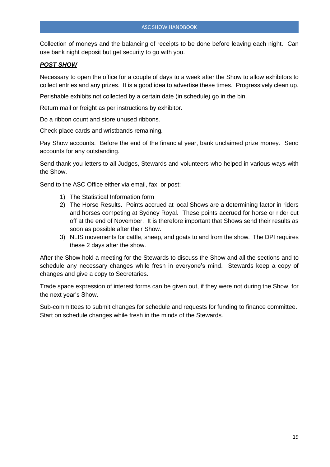Collection of moneys and the balancing of receipts to be done before leaving each night. Can use bank night deposit but get security to go with you.

#### *POST SHOW*

Necessary to open the office for a couple of days to a week after the Show to allow exhibitors to collect entries and any prizes. It is a good idea to advertise these times. Progressively clean up.

Perishable exhibits not collected by a certain date (in schedule) go in the bin.

Return mail or freight as per instructions by exhibitor.

Do a ribbon count and store unused ribbons.

Check place cards and wristbands remaining*.*

Pay Show accounts. Before the end of the financial year, bank unclaimed prize money. Send accounts for any outstanding.

Send thank you letters to all Judges, Stewards and volunteers who helped in various ways with the Show.

Send to the ASC Office either via email, fax, or post:

- 1) The Statistical Information form
- 2) The Horse Results. Points accrued at local Shows are a determining factor in riders and horses competing at Sydney Royal. These points accrued for horse or rider cut off at the end of November. It is therefore important that Shows send their results as soon as possible after their Show.
- 3) NLIS movements for cattle, sheep, and goats to and from the show. The DPI requires these 2 days after the show.

After the Show hold a meeting for the Stewards to discuss the Show and all the sections and to schedule any necessary changes while fresh in everyone's mind. Stewards keep a copy of changes and give a copy to Secretaries.

Trade space expression of interest forms can be given out, if they were not during the Show, for the next year's Show.

Sub-committees to submit changes for schedule and requests for funding to finance committee. Start on schedule changes while fresh in the minds of the Stewards*.*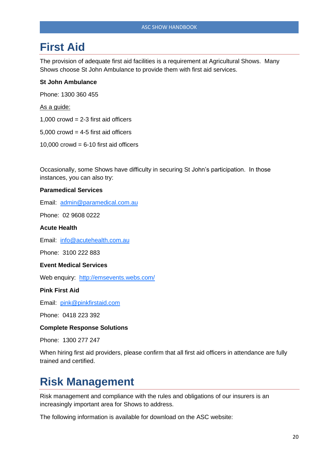### **First Aid**

The provision of adequate first aid facilities is a requirement at Agricultural Shows. Many Shows choose St John Ambulance to provide them with first aid services.

#### **St John Ambulance**

Phone: 1300 360 455

As a guide:

- 1,000 crowd  $= 2-3$  first aid officers
- $5,000$  crowd = 4-5 first aid officers
- 10,000 crowd =  $6-10$  first aid officers

Occasionally, some Shows have difficulty in securing St John's participation. In those instances, you can also try:

#### **Paramedical Services**

Email: [admin@paramedical.com.au](mailto:admin@paramedical.com.au)

Phone: 02 9608 0222

#### **Acute Health**

Email: [info@acutehealth.com.au](mailto:info@acutehealth.com.au)

Phone: 3100 222 883

#### **Event Medical Services**

Web enquiry: <http://emsevents.webs.com/>

**Pink First Aid**

Email: [pink@pinkfirstaid.com](mailto:pink@pinkfirstaid.com)

Phone: 0418 223 392

#### **Complete Response Solutions**

Phone: 1300 277 247

When hiring first aid providers, please confirm that all first aid officers in attendance are fully trained and certified.

### **Risk Management**

Risk management and compliance with the rules and obligations of our insurers is an increasingly important area for Shows to address.

The following information is available for download on the ASC website: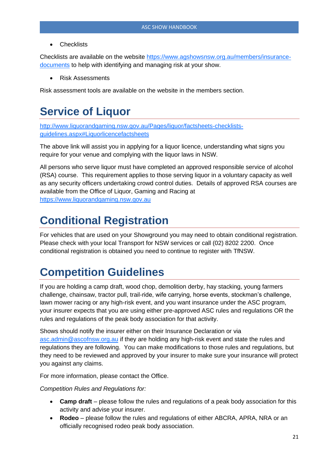**Checklists** 

Checklists are available on the website [https://www.agshowsnsw.org.au/members/insurance](https://www.agshowsnsw.org.au/members/insurance-documents)[documents](https://www.agshowsnsw.org.au/members/insurance-documents) to help with identifying and managing risk at your show.

• Risk Assessments

Risk assessment tools are available on the website in the members section.

### **Service of Liquor**

[http://www.liquorandgaming.nsw.gov.au/Pages/liquor/factsheets-checklists](http://www.liquorandgaming.nsw.gov.au/Pages/liquor/factsheets-checklists-guidelines.aspx#Liquorlicencefactsheets)[guidelines.aspx#Liquorlicencefactsheets](http://www.liquorandgaming.nsw.gov.au/Pages/liquor/factsheets-checklists-guidelines.aspx#Liquorlicencefactsheets)

The above link will assist you in applying for a liquor licence, understanding what signs you require for your venue and complying with the liquor laws in NSW.

All persons who serve liquor must have completed an approved responsible service of alcohol (RSA) course. This requirement applies to those serving liquor in a voluntary capacity as well as any security officers undertaking crowd control duties. Details of approved RSA courses are available from the Office of Liquor, Gaming and Racing at [https://www.liquorandgaming.nsw.gov.au](https://www.liquorandgaming.nsw.gov.au/)

### **Conditional Registration**

For vehicles that are used on your Showground you may need to obtain conditional registration. Please check with your local Transport for NSW services or call (02) 8202 2200. Once conditional registration is obtained you need to continue to register with TfNSW.

### **Competition Guidelines**

If you are holding a camp draft, wood chop, demolition derby, hay stacking, young farmers challenge, chainsaw, tractor pull, trail-ride, wife carrying, horse events, stockman's challenge, lawn mower racing or any high-risk event, and you want insurance under the ASC program, your insurer expects that you are using either pre-approved ASC rules and regulations OR the rules and regulations of the peak body association for that activity.

Shows should notify the insurer either on their Insurance Declaration or via asc.admin@ascofnsw.org.au if they are holding any high-risk event and state the rules and regulations they are following. You can make modifications to those rules and regulations, but they need to be reviewed and approved by your insurer to make sure your insurance will protect you against any claims.

For more information, please contact the Office.

*Competition Rules and Regulations for:*

- **Camp draft** please follow the rules and regulations of a peak body association for this activity and advise your insurer.
- **Rodeo** please follow the rules and regulations of either ABCRA, APRA, NRA or an officially recognised rodeo peak body association.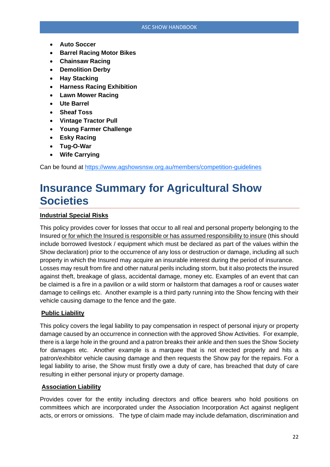- **Auto Soccer**
- **Barrel Racing Motor Bikes**
- **Chainsaw Racing**
- **Demolition Derby**
- **Hay Stacking**
- **Harness Racing Exhibition**
- **Lawn Mower Racing**
- **Ute Barrel**
- **Sheaf Toss**
- **Vintage Tractor Pull**
- **Young Farmer Challenge**
- **Esky Racing**
- **Tug-O-War**
- **Wife Carrying**

Can be found at<https://www.agshowsnsw.org.au/members/competition-guidelines>

### **Insurance Summary for Agricultural Show Societies**

#### **Industrial Special Risks**

This policy provides cover for losses that occur to all real and personal property belonging to the Insured or for which the Insured is responsible or has assumed responsibility to insure (this should include borrowed livestock / equipment which must be declared as part of the values within the Show declaration) prior to the occurrence of any loss or destruction or damage, including all such property in which the Insured may acquire an insurable interest during the period of insurance. Losses may result from fire and other natural perils including storm, but it also protects the insured against theft, breakage of glass, accidental damage, money etc. Examples of an event that can be claimed is a fire in a pavilion or a wild storm or hailstorm that damages a roof or causes water damage to ceilings etc. Another example is a third party running into the Show fencing with their vehicle causing damage to the fence and the gate.

#### **Public Liability**

This policy covers the legal liability to pay compensation in respect of personal injury or property damage caused by an occurrence in connection with the approved Show Activities. For example, there is a large hole in the ground and a patron breaks their ankle and then sues the Show Society for damages etc. Another example is a marquee that is not erected properly and hits a patron/exhibitor vehicle causing damage and then requests the Show pay for the repairs. For a legal liability to arise, the Show must firstly owe a duty of care, has breached that duty of care resulting in either personal injury or property damage.

#### **Association Liability**

Provides cover for the entity including directors and office bearers who hold positions on committees which are incorporated under the Association Incorporation Act against negligent acts, or errors or omissions. The type of claim made may include defamation, discrimination and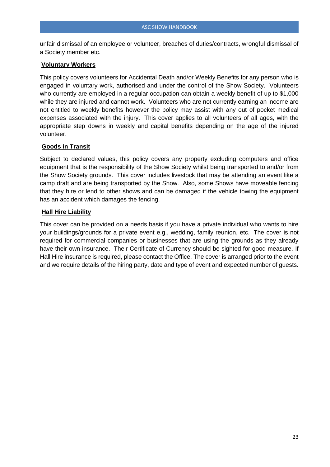unfair dismissal of an employee or volunteer, breaches of duties/contracts, wrongful dismissal of a Society member etc.

#### **Voluntary Workers**

This policy covers volunteers for Accidental Death and/or Weekly Benefits for any person who is engaged in voluntary work, authorised and under the control of the Show Society. Volunteers who currently are employed in a regular occupation can obtain a weekly benefit of up to \$1,000 while they are injured and cannot work. Volunteers who are not currently earning an income are not entitled to weekly benefits however the policy may assist with any out of pocket medical expenses associated with the injury. This cover applies to all volunteers of all ages, with the appropriate step downs in weekly and capital benefits depending on the age of the injured volunteer.

#### **Goods in Transit**

Subject to declared values, this policy covers any property excluding computers and office equipment that is the responsibility of the Show Society whilst being transported to and/or from the Show Society grounds. This cover includes livestock that may be attending an event like a camp draft and are being transported by the Show. Also, some Shows have moveable fencing that they hire or lend to other shows and can be damaged if the vehicle towing the equipment has an accident which damages the fencing.

#### **Hall Hire Liability**

This cover can be provided on a needs basis if you have a private individual who wants to hire your buildings/grounds for a private event e.g., wedding, family reunion, etc. The cover is not required for commercial companies or businesses that are using the grounds as they already have their own insurance. Their Certificate of Currency should be sighted for good measure. If Hall Hire insurance is required, please contact the Office. The cover is arranged prior to the event and we require details of the hiring party, date and type of event and expected number of guests.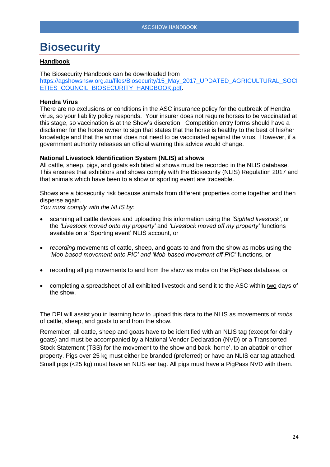### **Biosecurity**

#### **Handbook**

The Biosecurity Handbook can be downloaded from [https://agshowsnsw.org.au/files/Biosecurity/15\\_May\\_2017\\_UPDATED\\_AGRICULTURAL\\_SOCI](https://agshowsnsw.org.au/files/Biosecurity/15_May_2017_UPDATED_AGRICULTURAL_SOCIETIES_COUNCIL_BIOSECURITY_HANDBOOK.pdf) [ETIES\\_COUNCIL\\_BIOSECURITY\\_HANDBOOK.pdf.](https://agshowsnsw.org.au/files/Biosecurity/15_May_2017_UPDATED_AGRICULTURAL_SOCIETIES_COUNCIL_BIOSECURITY_HANDBOOK.pdf)

#### **Hendra Virus**

There are no exclusions or conditions in the ASC insurance policy for the outbreak of Hendra virus, so your liability policy responds. Your insurer does not require horses to be vaccinated at this stage, so vaccination is at the Show's discretion. Competition entry forms should have a disclaimer for the horse owner to sign that states that the horse is healthy to the best of his/her knowledge and that the animal does not need to be vaccinated against the virus. However, if a government authority releases an official warning this advice would change.

#### **National Livestock Identification System (NLIS) at shows**

All cattle, sheep, pigs, and goats exhibited at shows must be recorded in the NLIS database. This ensures that exhibitors and shows comply with the Biosecurity (NLIS) Regulation 2017 and that animals which have been to a show or sporting event are traceable.

Shows are a biosecurity risk because animals from different properties come together and then disperse again.

*You must comply with the NLIS by:*

- scanning all cattle devices and uploading this information using the *'Sighted livestock'*, or the *'Livestock moved onto my property'* and *'Livestock moved off my property'* functions available on a 'Sporting event' NLIS account, or
- *recording* movements of cattle, sheep, and goats to and from the show as mobs using the *'Mob-based movement onto PIC' and 'Mob-based movement off PIC'* functions, or
- recording all pig movements to and from the show as mobs on the PigPass database, or
- completing a spreadsheet of all exhibited livestock and send it to the ASC within two days of the show.

The DPI will assist you in learning how to upload this data to the NLIS as movements of *mobs* of cattle, sheep, and goats to and from the show.

Remember, all cattle, sheep and goats have to be identified with an NLIS tag (except for dairy goats) and must be accompanied by a National Vendor Declaration (NVD) or a Transported Stock Statement (TSS) for the movement to the show and back 'home', to an abattoir or other property. Pigs over 25 kg must either be branded (preferred) or have an NLIS ear tag attached. Small pigs (<25 kg) must have an NLIS ear tag. All pigs must have a PigPass NVD with them.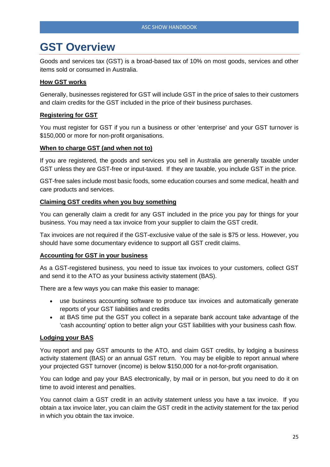### **GST Overview**

Goods and services tax (GST) is a broad-based tax of 10% on most goods, services and other items sold or consumed in Australia.

#### **[How GST works](http://www.ato.gov.au/businesses/content.aspx?menuid=0&doc=/content/00221985.htm&page=3&H3)**

Generally, businesses registered for GST will include GST in the price of sales to their customers and claim credits for the GST included in the price of their business purchases.

#### **[Registering for GST](http://www.ato.gov.au/businesses/content.aspx?menuid=0&doc=/content/00221985.htm&page=4&H4)**

You must register for GST if you run a business or other 'enterprise' and your GST turnover is \$150,000 or more for non-profit organisations.

#### **[When to charge GST \(and when not to\)](http://www.ato.gov.au/businesses/content.aspx?menuid=0&doc=/content/00221985.htm&page=9&H9)**

If you are registered, the goods and services you sell in Australia are generally taxable under GST unless they are GST-free or input-taxed. If they are taxable, you include GST in the price.

GST-free sales include most basic foods, some education courses and some medical, health and care products and services.

#### **[Claiming GST credits when you buy something](http://www.ato.gov.au/businesses/content.aspx?menuid=0&doc=/content/00221985.htm&page=22&H22)**

You can generally claim a credit for any GST included in the price you pay for things for your business. You may need a tax invoice from your supplier to claim the GST credit.

Tax invoices are not required if the GST-exclusive value of the sale is \$75 or less. However, you should have some documentary evidence to support all GST credit claims.

#### **[Accounting for GST in your business](http://www.ato.gov.au/businesses/content.aspx?menuid=0&doc=/content/00221985.htm&page=29&H29)**

As a GST-registered business, you need to issue tax invoices to your customers, collect GST and send it to the ATO as your business activity statement (BAS).

There are a few ways you can make this easier to manage:

- use business accounting software to produce tax invoices and automatically generate reports of your GST liabilities and credits
- at BAS time put the GST you collect in a separate bank account take advantage of the 'cash accounting' option to better align your GST liabilities with your business cash flow.

#### **[Lodging your BAS](http://www.ato.gov.au/businesses/content.aspx?menuid=0&doc=/content/00221985.htm&page=35&H35)**

You report and pay GST amounts to the ATO, and claim GST credits, by lodging a business activity statement (BAS) or an annual GST return. You may be eligible to report annual where your projected GST turnover (income) is below \$150,000 for a not-for-profit organisation.

You can lodge and pay your BAS electronically, by mail or in person, but you need to do it on time to avoid interest and penalties.

You cannot claim a GST credit in an activity statement unless you have a tax invoice. If you obtain a tax invoice later, you can claim the GST credit in the activity statement for the tax period in which you obtain the tax invoice.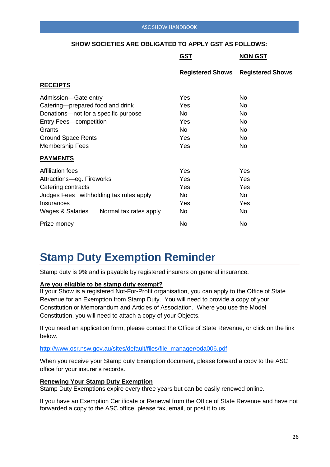#### ASC SHOW HANDBOOK

|                                         | <u>GST</u>              | <b>NON GST</b>          |
|-----------------------------------------|-------------------------|-------------------------|
|                                         | <b>Registered Shows</b> | <b>Registered Shows</b> |
| <b>RECEIPTS</b>                         |                         |                         |
| Admission-Gate entry                    | Yes                     | No.                     |
| Catering-prepared food and drink        | Yes                     | No                      |
| Donations-not for a specific purpose    | No                      | No.                     |
| <b>Entry Fees-competition</b>           | Yes                     | No.                     |
| Grants                                  | <b>No</b>               | No.                     |
| <b>Ground Space Rents</b>               | Yes                     | No.                     |
| <b>Membership Fees</b>                  | Yes                     | No                      |
| <b>PAYMENTS</b>                         |                         |                         |
| <b>Affiliation fees</b>                 | Yes                     | Yes                     |
| Attractions-eg. Fireworks               | Yes                     | Yes                     |
| Catering contracts                      | Yes                     | Yes                     |
| Judges Fees withholding tax rules apply | No                      | No                      |
| Insurances                              | Yes                     | Yes                     |
| Wages & Salaries Normal tax rates apply | No                      | No                      |
| Prize money                             | <b>No</b>               | No                      |

#### **SHOW SOCIETIES ARE OBLIGATED TO APPLY GST AS FOLLOWS:**

### **Stamp Duty Exemption Reminder**

Stamp duty is 9% and is payable by registered insurers on general insurance.

#### **Are you eligible to be stamp duty exempt?**

If your Show is a registered Not-For-Profit organisation, you can apply to the Office of State Revenue for an Exemption from Stamp Duty. You will need to provide a copy of your Constitution or Memorandum and Articles of Association. Where you use the Model Constitution, you will need to attach a copy of your Objects.

If you need an application form, please contact the Office of State Revenue, or click on the link below.

#### [http://www.osr.nsw.gov.au/sites/default/files/file\\_manager/oda006.pdf](http://www.osr.nsw.gov.au/sites/default/files/file_manager/oda006.pdf)

When you receive your Stamp duty Exemption document, please forward a copy to the ASC office for your insurer's records.

#### **Renewing Your Stamp Duty Exemption**

Stamp Duty Exemptions expire every three years but can be easily renewed online.

If you have an Exemption Certificate or Renewal from the Office of State Revenue and have not forwarded a copy to the ASC office, please fax, email, or post it to us.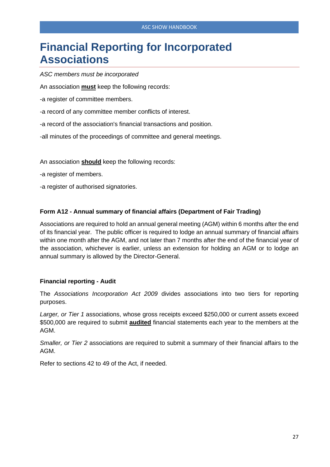### **Financial Reporting for Incorporated Associations**

*ASC members must be incorporated*

An association **must** keep the following records:

-a register of committee members.

- -a record of any committee member conflicts of interest.
- -a record of the association's financial transactions and position.
- -all minutes of the proceedings of committee and general meetings.

An association **should** keep the following records:

- -a register of members.
- -a register of authorised signatories.

#### **Form A12 - Annual summary of financial affairs (Department of Fair Trading)**

Associations are required to hold an annual general meeting (AGM) within 6 months after the end of its financial year. The public officer is required to lodge an annual summary of financial affairs within one month after the AGM, and not later than 7 months after the end of the financial year of the association, whichever is earlier, unless an extension for holding an AGM or to lodge an annual summary is allowed by the Director-General.

#### **Financial reporting - Audit**

The *Associations Incorporation Act 2009* divides associations into two tiers for reporting purposes.

*Larger, or Tier 1* associations, whose gross receipts exceed \$250,000 or current assets exceed \$500,000 are required to submit **audited** financial statements each year to the members at the AGM.

*Smaller, or Tier 2* associations are required to submit a summary of their financial affairs to the AGM.

Refer to sections 42 to 49 of the Act, if needed.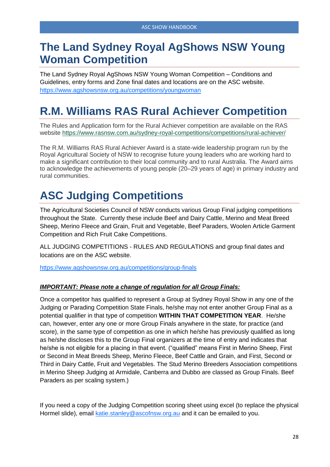### **The Land Sydney Royal AgShows NSW Young Woman Competition**

The Land Sydney Royal AgShows NSW Young Woman Competition – Conditions and Guidelines, entry forms and Zone final dates and locations are on the ASC website. <https://www.agshowsnsw.org.au/competitions/youngwoman>

### **R.M. Williams RAS Rural Achiever Competition**

The Rules and Application form for the Rural Achiever competition are available on the RAS website <https://www.rasnsw.com.au/sydney-royal-competitions/competitions/rural-achiever/>

The R.M. Williams RAS Rural Achiever Award is a state-wide leadership program run by the Royal Agricultural Society of NSW to recognise future young leaders who are working hard to make a significant contribution to their local community and to rural Australia. The Award aims to acknowledge the achievements of young people (20–29 years of age) in primary industry and rural communities.

# **ASC Judging Competitions**

The Agricultural Societies Council of NSW conducts various Group Final judging competitions throughout the State. Currently these include Beef and Dairy Cattle, Merino and Meat Breed Sheep, Merino Fleece and Grain, Fruit and Vegetable, Beef Paraders, Woolen Article Garment Competition and Rich Fruit Cake Competitions.

ALL JUDGING COMPETITIONS - RULES AND REGULATIONS and group final dates and locations are on the ASC website.

<https://www.agshowsnsw.org.au/competitions/group-finals>

#### *IMPORTANT: Please note a change of regulation for all Group Finals:*

Once a competitor has qualified to represent a Group at Sydney Royal Show in any one of the Judging or Parading Competition State Finals, he/she may not enter another Group Final as a potential qualifier in that type of competition **WITHIN THAT COMPETITION YEAR**. He/she can, however, enter any one or more Group Finals anywhere in the state, for practice (and score), in the same type of competition as one in which he/she has previously qualified as long as he/she discloses this to the Group Final organizers at the time of entry and indicates that he/she is not eligible for a placing in that event. ("qualified" means First in Merino Sheep, First or Second in Meat Breeds Sheep, Merino Fleece, Beef Cattle and Grain, and First, Second or Third in Dairy Cattle, Fruit and Vegetables. The Stud Merino Breeders Association competitions in Merino Sheep Judging at Armidale, Canberra and Dubbo are classed as Group Finals. Beef Paraders as per scaling system.)

If you need a copy of the Judging Competition scoring sheet using excel (to replace the physical Hormel slide), email [katie.stanley@ascofnsw.org.au](mailto:katie.stanley@ascofnsw.org.au) and it can be emailed to you.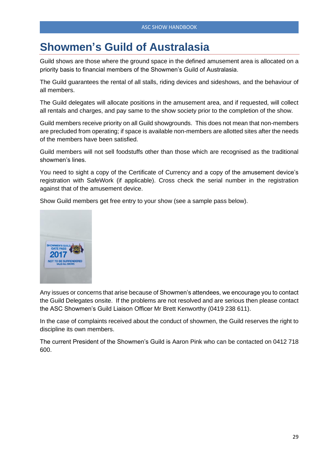### **Showmen's Guild of Australasia**

Guild shows are those where the ground space in the defined amusement area is allocated on a priority basis to financial members of the Showmen's Guild of Australasia.

The Guild guarantees the rental of all stalls, riding devices and sideshows, and the behaviour of all members.

The Guild delegates will allocate positions in the amusement area, and if requested, will collect all rentals and charges, and pay same to the show society prior to the completion of the show.

Guild members receive priority on all Guild showgrounds. This does not mean that non-members are precluded from operating; if space is available non-members are allotted sites after the needs of the members have been satisfied.

Guild members will not sell foodstuffs other than those which are recognised as the traditional showmen's lines.

You need to sight a copy of the Certificate of Currency and a copy of the amusement device's registration with SafeWork (if applicable). Cross check the serial number in the registration against that of the amusement device.

Show Guild members get free entry to your show (see a sample pass below).



Any issues or concerns that arise because of Showmen's attendees, we encourage you to contact the Guild Delegates onsite. If the problems are not resolved and are serious then please contact the ASC Showmen's Guild Liaison Officer Mr Brett Kenworthy (0419 238 611).

In the case of complaints received about the conduct of showmen, the Guild reserves the right to discipline its own members.

The current President of the Showmen's Guild is Aaron Pink who can be contacted on 0412 718 600.